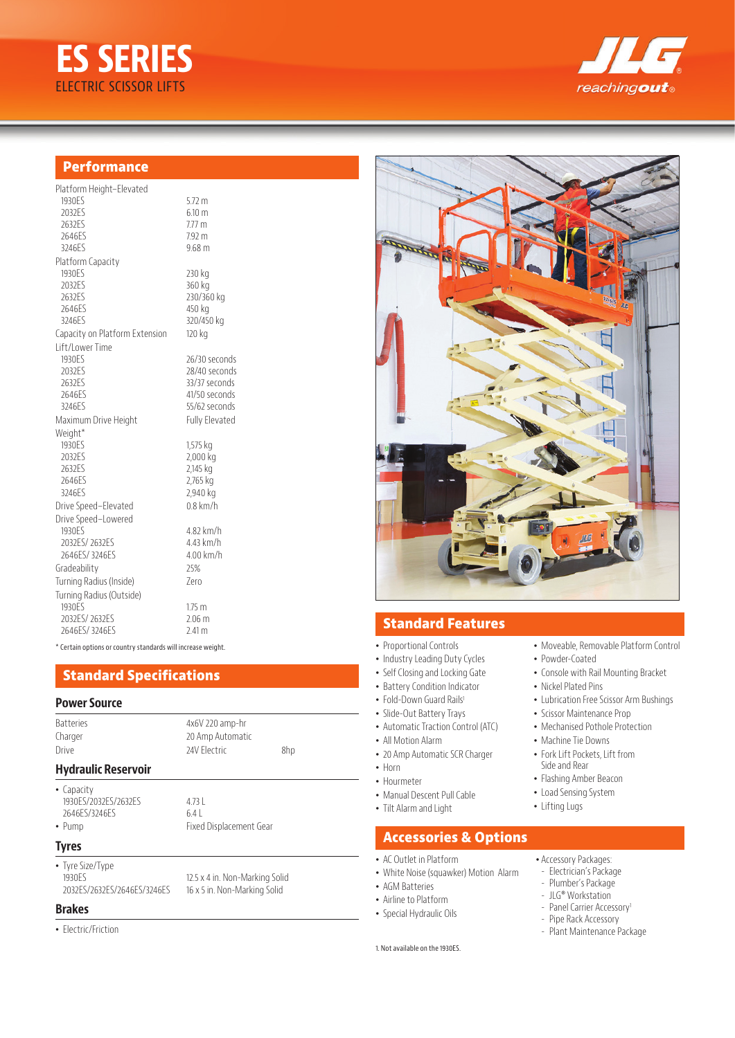# **ES SERIES** ELECTRIC SCISSOR LIFTS



## **Performance**

| Platform Height-Elevated       |                       |
|--------------------------------|-----------------------|
| 1930ES                         | $5.72 \text{ m}$      |
| 2032ES                         | 6.10 m                |
| 2632ES                         | $7.77$ m              |
| 2646ES                         | 7.92 m                |
| 3246ES                         | 9.68 <sub>m</sub>     |
| Platform Capacity              |                       |
| 1930ES                         | 230 kg                |
| 2032ES                         | 360 kg                |
| 2632ES                         | 230/360 kg            |
| 2646FS                         | 450 kg                |
| 3246ES                         | 320/450 kg            |
| Capacity on Platform Extension | 120 kg                |
| Lift/Lower Time                |                       |
| 1930 <sub>FS</sub>             | 26/30 seconds         |
| 2032ES                         | 28/40 seconds         |
| 2632ES                         | 33/37 seconds         |
| 2646ES                         | 41/50 seconds         |
| 3246ES                         | 55/62 seconds         |
| Maximum Drive Height           | <b>Fully Elevated</b> |
| Weight*                        |                       |
| 1930ES                         | 1,575 kg              |
| 2032ES                         | 2,000 kg              |
| 2632ES                         | 2,145 kg              |
| 2646FS                         | 2,765 kg              |
| 3246ES                         | 2,940 kg              |
| Drive Speed-Elevated           | $0.8$ km/h            |
| Drive Speed-Lowered            |                       |
| 1930 <sub>FS</sub>             | 4.82 km/h             |
| 2032ES/2632ES                  | 4.43 km/h             |
| 2646FS/3246FS                  | $4.00$ km/h           |
| Gradeability                   | 25%                   |
| Turning Radius (Inside)        | 7ero                  |
| Turning Radius (Outside)       |                       |
| 1930ES                         | 1.75 <sub>m</sub>     |
| 2032ES/2632ES                  | 2.06 <sub>m</sub>     |
| 2646ES/3246ES                  | 2.41 m                |

\* Certain options or country standards will increase weight.

## **Standard Specifications**

#### **Power Source**

| <b>Hydraulic Reservoir</b> |                   |     |  |
|----------------------------|-------------------|-----|--|
| Drive                      | 24V Flectric      | 8hp |  |
| Charger                    | 20 Amp Automatic  |     |  |
| <b>Batteries</b>           | $4x6V$ 220 amp-hr |     |  |

• Capacity 1930ES/2032ES/2632ES 4.73 L<br>2646ES/3246ES 6.4 L 2646ES/3246ES

• Pump Fixed Displacement Gear

#### **Tyres**

• Tyre Size/Type 1930ES<br>
2032ES/2632ES/2646ES/3246ES<br>
16 x 5 in. Non-Marking Solid<br>
16 x 5 in. Non-Marking Solid

16 x 5 in. Non-Marking Solid

#### **Brakes**

• Electric/Friction



## **Standard Features**

- Proportional Controls
- Industry Leading Duty Cycles
- Self Closing and Locking Gate
- Battery Condition Indicator
- Fold-Down Guard Rails<sup>1</sup>
- Slide-Out Battery Trays
- Automatic Traction Control (ATC)
- All Motion Alarm
- 20 Amp Automatic SCR Charger
- Horn
- Hourmeter
- Manual Descent Pull Cable
- Tilt Alarm and Light

### **Accessories & Options**

- AC Outlet in Platform
- White Noise (squawker) Motion Alarm
- AGM Batteries
- Airline to Platform
- Special Hydraulic Oils
- 
- Moveable, Removable Platform Control
- Powder-Coated
- Console with Rail Mounting Bracket
- Nickel Plated Pins
	- Lubrication Free Scissor Arm Bushings
- Scissor Maintenance Prop
- Mechanised Pothole Protection
- Machine Tie Downs
- Fork Lift Pockets, Lift from Side and Rear
- Flashing Amber Beacon
- Load Sensing System
- Lifting Lugs
- Accessory Packages:
- Electrician's Package
- Plumber's Package
- JLG® Workstation
- Panel Carrier Accessory<sup>1</sup>
- Pipe Rack Accessory
- Plant Maintenance Package
- 1. Not available on the 1930ES.